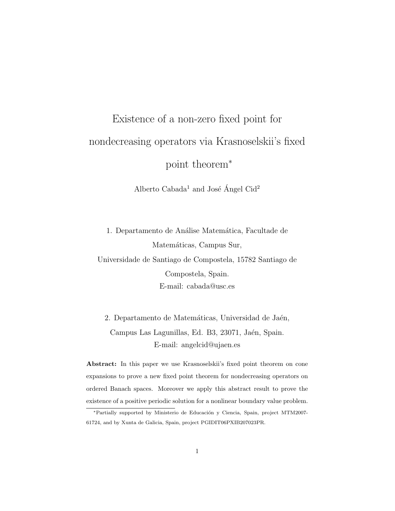# Existence of a non-zero fixed point for nondecreasing operators via Krasnoselskii's fixed point theorem<sup>∗</sup>

Alberto Cabada<sup>1</sup> and José Ángel Cid<sup>2</sup>

1. Departamento de Análise Matemática, Facultade de Matemáticas, Campus Sur, Universidade de Santiago de Compostela, 15782 Santiago de Compostela, Spain. E-mail: cabada@usc.es

2. Departamento de Matemáticas, Universidad de Jaén, Campus Las Lagunillas, Ed. B3, 23071, Jaén, Spain. E-mail: angelcid@ujaen.es

Abstract: In this paper we use Krasnoselskii's fixed point theorem on cone expansions to prove a new fixed point theorem for nondecreasing operators on ordered Banach spaces. Moreover we apply this abstract result to prove the existence of a positive periodic solution for a nonlinear boundary value problem.

<sup>∗</sup>Partially supported by Ministerio de Educaci´on y Ciencia, Spain, project MTM2007- 61724, and by Xunta de Galicia, Spain, project PGIDIT06PXIB207023PR.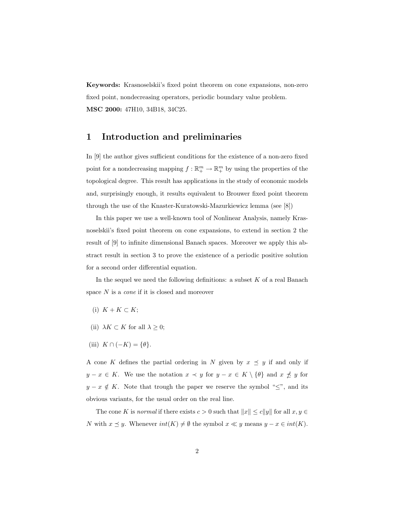Keywords: Krasnoselskii's fixed point theorem on cone expansions, non-zero fixed point, nondecreasing operators, periodic boundary value problem. MSC 2000: 47H10, 34B18, 34C25.

### 1 Introduction and preliminaries

In [9] the author gives sufficient conditions for the existence of a non-zero fixed point for a nondecreasing mapping  $f : \mathbb{R}^m_+ \to \mathbb{R}^m_+$  by using the properties of the topological degree. This result has applications in the study of economic models and, surprisingly enough, it results equivalent to Brouwer fixed point theorem through the use of the Knaster-Kuratowski-Mazurkiewicz lemma (see [8])

In this paper we use a well-known tool of Nonlinear Analysis, namely Krasnoselskii's fixed point theorem on cone expansions, to extend in section 2 the result of [9] to infinite dimensional Banach spaces. Moreover we apply this abstract result in section 3 to prove the existence of a periodic positive solution for a second order differential equation.

In the sequel we need the following definitions: a subset  $K$  of a real Banach space N is a *cone* if it is closed and moreover

- (i)  $K + K \subset K$ ;
- (ii)  $\lambda K \subset K$  for all  $\lambda \geq 0$ ;
- (iii)  $K \cap (-K) = \{\theta\}.$

A cone K defines the partial ordering in N given by  $x \preceq y$  if and only if  $y - x \in K$ . We use the notation  $x \prec y$  for  $y - x \in K \setminus \{\theta\}$  and  $x \not\preceq y$  for  $y - x \notin K$ . Note that trough the paper we reserve the symbol " $\leq$ ", and its obvious variants, for the usual order on the real line.

The cone K is normal if there exists  $c > 0$  such that  $||x|| \le c||y||$  for all  $x, y \in$ N with  $x \leq y$ . Whenever  $int(K) \neq \emptyset$  the symbol  $x \ll y$  means  $y - x \in int(K)$ .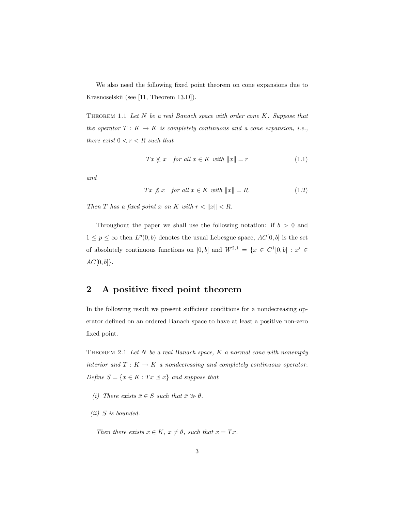We also need the following fixed point theorem on cone expansions due to Krasnoselskii (see [11, Theorem 13.D]).

THEOREM 1.1 Let  $N$  be a real Banach space with order cone  $K$ . Suppose that the operator  $T: K \to K$  is completely continuous and a cone expansion, i.e., there exist  $0 < r < R$  such that

$$
Tx \not\succeq x \quad \text{for all } x \in K \text{ with } ||x|| = r \tag{1.1}
$$

and

$$
Tx \nleq x \quad \text{for all } x \in K \text{ with } \|x\| = R. \tag{1.2}
$$

Then T has a fixed point x on K with  $r < ||x|| < R$ .

Throughout the paper we shall use the following notation: if  $b > 0$  and  $1 \leq p \leq \infty$  then  $L^p(0, b)$  denotes the usual Lebesgue space,  $AC[0, b]$  is the set of absolutely continuous functions on [0, b] and  $W^{2,1} = \{x \in C^1[0,b] : x' \in$  $AC[0, b]$ .

## 2 A positive fixed point theorem

In the following result we present sufficient conditions for a nondecreasing operator defined on an ordered Banach space to have at least a positive non-zero fixed point.

THEOREM 2.1 Let  $N$  be a real Banach space,  $K$  a normal cone with nonempty interior and  $T: K \to K$  a nondecreasing and completely continuous operator. Define  $S = \{x \in K : Tx \preceq x\}$  and suppose that

- (i) There exists  $\bar{x} \in S$  such that  $\bar{x} \gg \theta$ .
- (ii) S is bounded.

Then there exists  $x \in K$ ,  $x \neq \theta$ , such that  $x = Tx$ .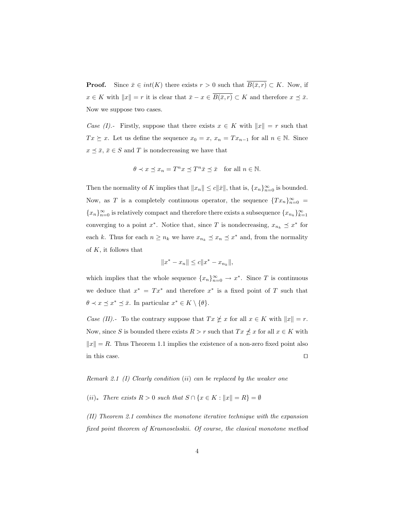**Proof.** Since  $\bar{x} \in int(K)$  there exists  $r > 0$  such that  $\overline{B(\bar{x}, r)} \subset K$ . Now, if  $x \in K$  with  $||x|| = r$  it is clear that  $\bar{x} - x \in \overline{B(\bar{x}, r)} \subset K$  and therefore  $x \preceq \bar{x}$ . Now we suppose two cases.

Case (I).- Firstly, suppose that there exists  $x \in K$  with  $||x|| = r$  such that  $Tx \succeq x$ . Let us define the sequence  $x_0 = x$ ,  $x_n = Tx_{n-1}$  for all  $n \in \mathbb{N}$ . Since  $x \preceq \bar{x}, \, \bar{x} \in S$  and T is nondecreasing we have that

$$
\theta \prec x \preceq x_n = T^n x \preceq T^n \bar{x} \preceq \bar{x} \quad \text{for all } n \in \mathbb{N}.
$$

Then the normality of K implies that  $||x_n|| \le c||\bar{x}||$ , that is,  $\{x_n\}_{n=0}^{\infty}$  is bounded. Now, as T is a completely continuous operator, the sequence  ${Tx_n}_{n=0}^{\infty}$  ${x_n}_{n=0}^{\infty}$  is relatively compact and therefore there exists a subsequence  ${x_{n_k}}_{k=1}^{\infty}$ converging to a point  $x^*$ . Notice that, since T is nondecreasing,  $x_{n_k} \preceq x^*$  for each k. Thus for each  $n \geq n_k$  we have  $x_{n_k} \preceq x_n \preceq x^*$  and, from the normality of  $K$ , it follows that

$$
||x^* - x_n|| \le c||x^* - x_{n_k}||,
$$

which implies that the whole sequence  $\{x_n\}_{n=0}^{\infty} \to x^*$ . Since T is continuous we deduce that  $x^* = Tx^*$  and therefore  $x^*$  is a fixed point of T such that  $\theta \prec x \preceq x^* \preceq \bar{x}$ . In particular  $x^* \in K \setminus \{\theta\}.$ 

Case (II).- To the contrary suppose that  $Tx \not\geq x$  for all  $x \in K$  with  $||x|| = r$ . Now, since S is bounded there exists  $R > r$  such that  $Tx \nleq x$  for all  $x \in K$  with  $||x|| = R$ . Thus Theorem 1.1 implies the existence of a non-zero fixed point also in this case.  $\Box$ 

#### Remark 2.1 (I) Clearly condition (ii) can be replaced by the weaker one

 $(ii)_{*}$  There exists  $R > 0$  such that  $S \cap \{x \in K : ||x|| = R\} = \emptyset$ 

(II) Theorem 2.1 combines the monotone iterative technique with the expansion fixed point theorem of Krasnoselsskii. Of course, the clasical monotone method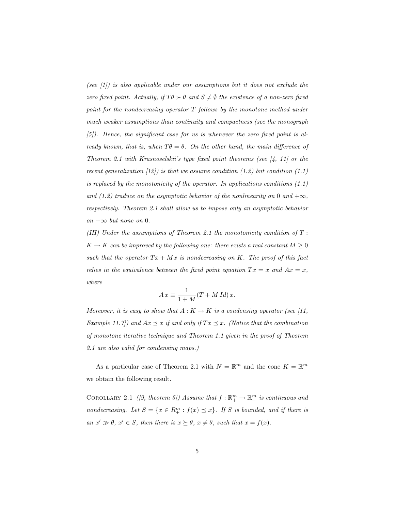(see  $(1)$ ) is also applicable under our assumptions but it does not exclude the zero fixed point. Actually, if  $T\theta \succ \theta$  and  $S \neq \emptyset$  the existence of a non-zero fixed point for the nondecreasing operator T follows by the monotone method under much weaker assumptions than continuity and compactness (see the monograph  $(5)$ ). Hence, the significant case for us is whenever the zero fixed point is already known, that is, when  $T\theta = \theta$ . On the other hand, the main difference of Theorem 2.1 with Krasnoselskii's type fixed point theorems (see  $[4, 11]$  or the recent generalization  $(12)$  is that we assume condition  $(1.2)$  but condition  $(1.1)$ is replaced by the monotonicity of the operator. In applications conditions  $(1.1)$ and (1.2) traduce on the asymptotic behavior of the nonlinearity on 0 and  $+\infty$ , respectively. Theorem 2.1 shall allow us to impose only an asymptotic behavior on  $+∞$  but none on 0.

(III) Under the assumptions of Theorem 2.1 the monotonicity condition of  $T$ :  $K \to K$  can be improved by the following one: there exists a real constant  $M \geq 0$ such that the operator  $Tx + Mx$  is nondecreasing on K. The proof of this fact relies in the equivalence between the fixed point equation  $Tx = x$  and  $Ax = x$ , where

$$
A x \equiv \frac{1}{1+M}(T+M Id)x.
$$

Moreover, it is easy to show that  $A: K \to K$  is a condensing operator (see [11, Example 11.7]) and  $Ax \preceq x$  if and only if  $Tx \preceq x$ . (Notice that the combination of monotone iterative technique and Theorem 1.1 given in the proof of Theorem 2.1 are also valid for condensing maps.)

As a particular case of Theorem 2.1 with  $N = \mathbb{R}^m$  and the cone  $K = \mathbb{R}^m_+$ we obtain the following result.

COROLLARY 2.1 ([9, theorem 5]) Assume that  $f : \mathbb{R}^m_+ \to \mathbb{R}^m_+$  is continuous and nondecreasing. Let  $S = \{x \in R_+^m : f(x) \preceq x\}$ . If S is bounded, and if there is an  $x' \gg \theta$ ,  $x' \in S$ , then there is  $x \succeq \theta$ ,  $x \neq \theta$ , such that  $x = f(x)$ .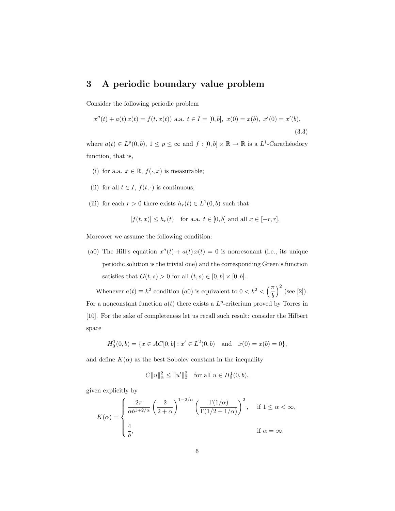## 3 A periodic boundary value problem

Consider the following periodic problem

$$
x''(t) + a(t)x(t) = f(t, x(t)) \text{ a.a. } t \in I = [0, b], \ x(0) = x(b), \ x'(0) = x'(b),
$$
\n(3.3)

where  $a(t) \in L^p(0, b)$ ,  $1 \leq p \leq \infty$  and  $f : [0, b] \times \mathbb{R} \to \mathbb{R}$  is a  $L^1$ -Carathéodory function, that is,

- (i) for a.a.  $x \in \mathbb{R}$ ,  $f(\cdot, x)$  is measurable;
- (ii) for all  $t \in I$ ,  $f(t, \cdot)$  is continuous;
- (iii) for each  $r > 0$  there exists  $h_r(t) \in L^1(0, b)$  such that

$$
|f(t,x)| \le h_r(t) \quad \text{for a.a. } t \in [0,b] \text{ and all } x \in [-r,r].
$$

Moreover we assume the following condition:

(a0) The Hill's equation  $x''(t) + a(t)x(t) = 0$  is nonresonant (i.e., its unique periodic solution is the trivial one) and the corresponding Green's function satisfies that  $G(t, s) > 0$  for all  $(t, s) \in [0, b] \times [0, b]$ .

Whenever  $a(t) \equiv k^2$  condition (*a*0) is equivalent to  $0 < k^2 < \left(\frac{\pi}{l}\right)$ b  $\sqrt{2}$ (see [2]). For a nonconstant function  $a(t)$  there exists a  $L^p$ -criterium proved by Torres in [10]. For the sake of completeness let us recall such result: consider the Hilbert space

$$
H_0^1(0,b) = \{x \in AC[0,b] : x' \in L^2(0,b) \text{ and } x(0) = x(b) = 0\},\
$$

and define  $K(\alpha)$  as the best Sobolev constant in the inequality

$$
C||u||_{\alpha}^{2} \le ||u'||_{2}^{2} \text{ for all } u \in H_{0}^{1}(0,b),
$$

given explicitly by

$$
K(\alpha) = \begin{cases} \frac{2\pi}{\alpha b^{1+2/\alpha}} \left(\frac{2}{2+\alpha}\right)^{1-2/\alpha} \left(\frac{\Gamma(1/\alpha)}{\Gamma(1/2+1/\alpha)}\right)^2, & \text{if } 1 \le \alpha < \infty, \\ \frac{4}{b}, & \text{if } \alpha = \infty, \end{cases}
$$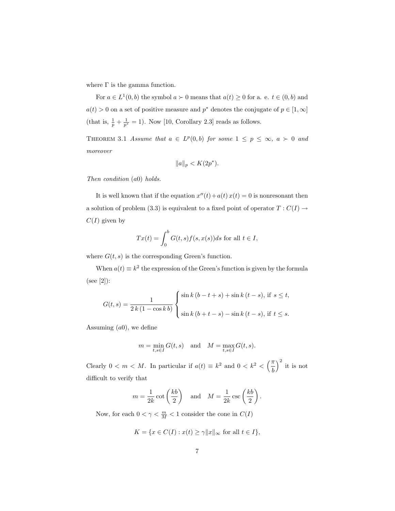where  $\Gamma$  is the gamma function.

For  $a \in L^1(0, b)$  the symbol  $a \succ 0$  means that  $a(t) \geq 0$  for a. e.  $t \in (0, b)$  and  $a(t) > 0$  on a set of positive measure and  $p^*$  denotes the conjugate of  $p \in [1, \infty]$ (that is,  $\frac{1}{p} + \frac{1}{p^*} = 1$ ). Now [10, Corollary 2.3] reads as follows.

THEOREM 3.1 Assume that  $a \in L^p(0, b)$  for some  $1 \leq p \leq \infty$ ,  $a \succ 0$  and moreover

$$
||a||_p < K(2p^*).
$$

Then condition (a0) holds.

It is well known that if the equation  $x''(t) + a(t) x(t) = 0$  is nonresonant then a solution of problem (3.3) is equivalent to a fixed point of operator  $T : C(I) \rightarrow$  $C(I)$  given by

$$
Tx(t) = \int_0^b G(t,s)f(s,x(s))ds
$$
 for all  $t \in I$ ,

where  $G(t, s)$  is the corresponding Green's function.

When  $a(t) \equiv k^2$  the expression of the Green's function is given by the formula (see [2]):

$$
G(t,s) = \frac{1}{2k(1 - \cos kb)} \begin{cases} \sin k (b - t + s) + \sin k (t - s), & \text{if } s \le t, \\ \sin k (b + t - s) - \sin k (t - s), & \text{if } t \le s. \end{cases}
$$

Assuming  $(a0)$ , we define

$$
m = \min_{t,s \in I} G(t,s) \quad \text{and} \quad M = \max_{t,s \in I} G(t,s).
$$

Clearly  $0 < m < M$ . In particular if  $a(t) \equiv k^2$  and  $0 < k^2 < \left(\frac{\pi}{l}\right)$ b  $\sqrt{2}$ it is not difficult to verify that

$$
m = \frac{1}{2k} \cot\left(\frac{kb}{2}\right)
$$
 and  $M = \frac{1}{2k} \csc\left(\frac{kb}{2}\right)$ .

Now, for each  $0 < \gamma < \frac{m}{M} < 1$  consider the cone in  $C(I)$ 

$$
K = \{ x \in C(I) : x(t) \ge \gamma ||x||_{\infty} \text{ for all } t \in I \},
$$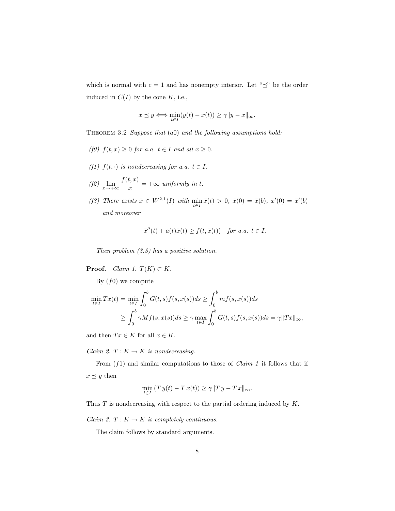which is normal with  $c = 1$  and has nonempty interior. Let " $\preceq$ " be the order induced in  $C(I)$  by the cone K, i.e.,

$$
x \preceq y \Longleftrightarrow \min_{t \in I} (y(t) - x(t)) \ge \gamma \|y - x\|_{\infty}.
$$

THEOREM 3.2 Suppose that  $(a0)$  and the following assumptions hold:

- (f0)  $f(t, x) \geq 0$  for a.a.  $t \in I$  and all  $x \geq 0$ .
- (f1)  $f(t, \cdot)$  is nondecreasing for a.a.  $t \in I$ .
- (f2)  $\lim_{x \to +\infty} \frac{f(t, x)}{x}$  $\frac{x}{x}$  =  $+\infty$  uniformly in t.
- (f3) There exists  $\bar{x} \in W^{2,1}(I)$  with  $\min_{t \in I} \bar{x}(t) > 0$ ,  $\bar{x}(0) = \bar{x}(b)$ ,  $\bar{x}'(0) = \bar{x}'(b)$ and moreover

$$
\bar{x}''(t) + a(t)\bar{x}(t) \ge f(t, \bar{x}(t)) \quad \text{for a.a. } t \in I.
$$

Then problem  $(3.3)$  has a positive solution.

**Proof.** *Claim 1.*  $T(K) \subset K$ .

By  $(f0)$  we compute

$$
\min_{t \in I} Tx(t) = \min_{t \in I} \int_0^b G(t, s) f(s, x(s)) ds \ge \int_0^b m f(s, x(s)) ds
$$
  
 
$$
\ge \int_0^b \gamma M f(s, x(s)) ds \ge \gamma \max_{t \in I} \int_0^b G(t, s) f(s, x(s)) ds = \gamma ||Tx||_{\infty},
$$

and then  $Tx \in K$  for all  $x \in K$ .

Claim 2.  $T: K \to K$  is nondecreasing.

From  $(f1)$  and similar computations to those of *Claim 1* it follows that if  $x \preceq y$  then

$$
\min_{t \in I} (T y(t) - T x(t)) \ge \gamma ||T y - T x||_{\infty}.
$$

Thus  $T$  is nondecreasing with respect to the partial ordering induced by  $K$ .

Claim 3.  $T: K \to K$  is completely continuous.

The claim follows by standard arguments.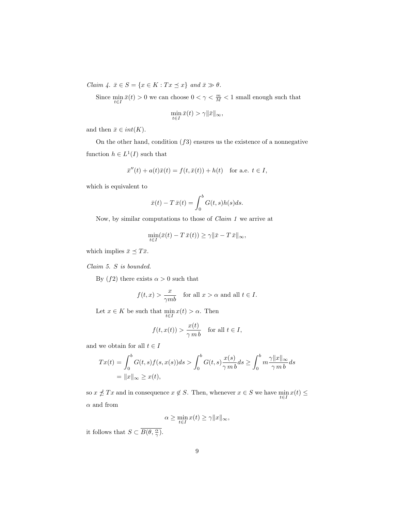Claim 4.  $\bar{x} \in S = \{x \in K : Tx \preceq x\}$  and  $\bar{x} \gg \theta$ .

Since  $\min_{t\in I}\bar{x}(t)>0$  we can choose  $0<\gamma<\frac{m}{M}<1$  small enough such that  $\min_{t \in I} \bar{x}(t) > \gamma ||\bar{x}||_{\infty},$ 

and then  $\bar{x} \in int(K)$ .

On the other hand, condition  $(f3)$  ensures us the existence of a nonnegative function  $h \in L^1(I)$  such that

$$
\bar{x}''(t) + a(t)\bar{x}(t) = f(t, \bar{x}(t)) + h(t)
$$
 for a.e.  $t \in I$ ,

which is equivalent to

$$
\bar{x}(t) - T\,\bar{x}(t) = \int_0^b G(t,s)h(s)ds.
$$

Now, by similar computations to those of Claim 1 we arrive at

$$
\min_{t \in I} (\bar{x}(t) - T \bar{x}(t)) \ge \gamma \|\bar{x} - T \bar{x}\|_{\infty},
$$

which implies  $\bar{x} \preceq T\bar{x}$ .

Claim 5. S is bounded.

By  $(f2)$  there exists  $\alpha > 0$  such that

$$
f(t,x) > \frac{x}{\gamma mb}
$$
 for all  $x > \alpha$  and all  $t \in I$ .

Let  $x \in K$  be such that  $\min_{t \in I} x(t) > \alpha$ . Then

$$
f(t, x(t)) > \frac{x(t)}{\gamma \, m \, b} \quad \text{for all } t \in I,
$$

and we obtain for all  $t \in I$ 

$$
Tx(t) = \int_0^b G(t,s)f(s,x(s))ds > \int_0^b G(t,s)\frac{x(s)}{\gamma m b}ds \ge \int_0^b m\frac{\gamma ||x||_{\infty}}{\gamma mb}ds
$$
  
=  $||x||_{\infty} \ge x(t)$ ,

so  $x \nleq Tx$  and in consequence  $x \notin S$ . Then, whenever  $x \in S$  we have  $\min_{t \in I} x(t) \leq$  $\alpha$  and from

$$
\alpha \ge \min_{t \in I} x(t) \ge \gamma ||x||_{\infty},
$$

it follows that  $S \subset \overline{B(\theta, \frac{\alpha}{\gamma})}$ .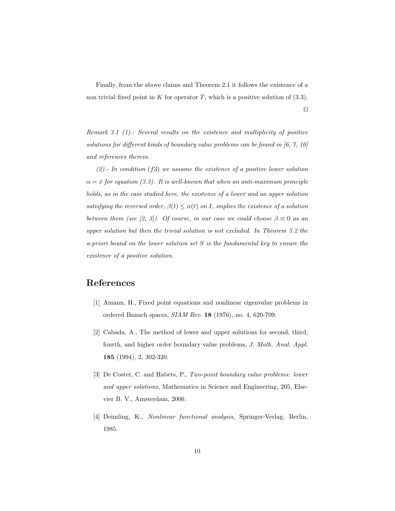Finally, from the above claims and Theorem 2.1 it follows the existence of a non trivial fixed point in K for operator T, which is a positive solution of  $(3.3)$ .

 $\Box$ 

Remark 3.1 (1).- Several results on the existence and multiplicity of positive solutions for different kinds of boundary value problems can be found in [6, 7, 10] and references therein.

 $(2)$ . In condition  $(f3)$  we assume the existence of a positive lower solution  $\alpha = \bar{x}$  for equation (3.3). It is well-known that when an anti-maximum principle holds, as in the case studied here, the existence of a lower and an upper solution satisfying the reversed order,  $\beta(t) \leq \alpha(t)$  on I, implies the existence of a solution between them (see [2, 3]). Of course, in our case we could choose  $\beta \equiv 0$  as an upper solution but then the trivial solution is not excluded. In Theorem 3.2 the a-priori bound on the lower solution set  $S$  is the fundamental key to ensure the existence of a positive solution.

## References

- [1] Amann, H., Fixed point equations and nonlinear eigenvalue problems in ordered Banach spaces, SIAM Rev. 18 (1976), no. 4, 620-709.
- [2] Cabada, A., The method of lower and upper solutions for second, third, fourth, and higher order boundary value problems, J. Math. Anal. Appl. 185 (1994), 2, 302-320.
- [3] De Coster, C. and Habets, P., Two-point boundary value problems: lower and upper solutions, Mathematics in Science and Engineering, 205, Elsevier B. V., Amsterdam, 2006.
- [4] Deimling, K., Nonlinear functional analysis, Springer-Verlag, Berlin, 1985.